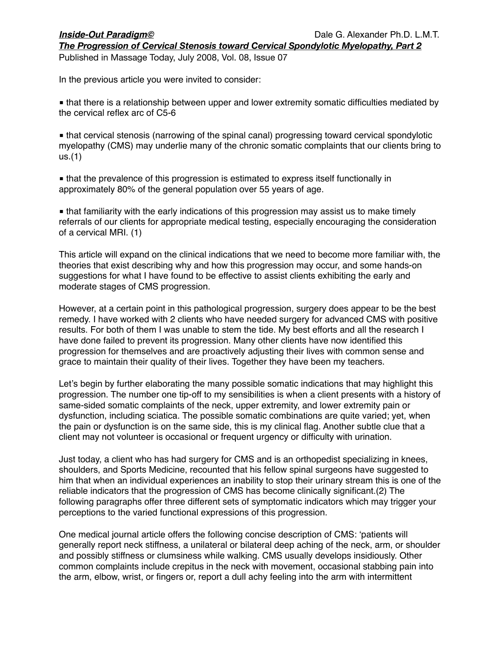Published in Massage Today, July 2008, Vol. 08, Issue 07

In the previous article you were invited to consider:

■ that there is a relationship between upper and lower extremity somatic difficulties mediated by the cervical reflex arc of C5-6

■ that cervical stenosis (narrowing of the spinal canal) progressing toward cervical spondylotic myelopathy (CMS) may underlie many of the chronic somatic complaints that our clients bring to us.(1)

■ that the prevalence of this progression is estimated to express itself functionally in approximately 80% of the general population over 55 years of age.

■ that familiarity with the early indications of this progression may assist us to make timely referrals of our clients for appropriate medical testing, especially encouraging the consideration of a cervical MRI. (1)

This article will expand on the clinical indications that we need to become more familiar with, the theories that exist describing why and how this progression may occur, and some hands-on suggestions for what I have found to be effective to assist clients exhibiting the early and moderate stages of CMS progression.

However, at a certain point in this pathological progression, surgery does appear to be the best remedy. I have worked with 2 clients who have needed surgery for advanced CMS with positive results. For both of them I was unable to stem the tide. My best efforts and all the research I have done failed to prevent its progression. Many other clients have now identified this progression for themselves and are proactively adjusting their lives with common sense and grace to maintain their quality of their lives. Together they have been my teachers.

Let's begin by further elaborating the many possible somatic indications that may highlight this progression. The number one tip-off to my sensibilities is when a client presents with a history of same-sided somatic complaints of the neck, upper extremity, and lower extremity pain or dysfunction, including sciatica. The possible somatic combinations are quite varied; yet, when the pain or dysfunction is on the same side, this is my clinical flag. Another subtle clue that a client may not volunteer is occasional or frequent urgency or difficulty with urination.

Just today, a client who has had surgery for CMS and is an orthopedist specializing in knees, shoulders, and Sports Medicine, recounted that his fellow spinal surgeons have suggested to him that when an individual experiences an inability to stop their urinary stream this is one of the reliable indicators that the progression of CMS has become clinically significant.(2) The following paragraphs offer three different sets of symptomatic indicators which may trigger your perceptions to the varied functional expressions of this progression.

One medical journal article offers the following concise description of CMS: ʻpatients will generally report neck stiffness, a unilateral or bilateral deep aching of the neck, arm, or shoulder and possibly stiffness or clumsiness while walking. CMS usually develops insidiously. Other common complaints include crepitus in the neck with movement, occasional stabbing pain into the arm, elbow, wrist, or fingers or, report a dull achy feeling into the arm with intermittent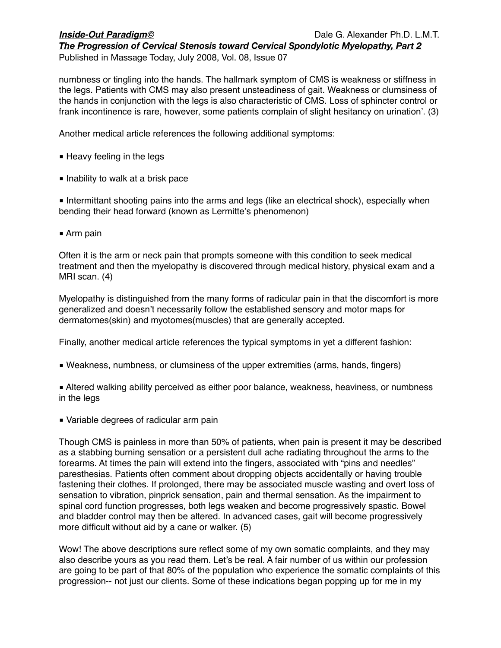Published in Massage Today, July 2008, Vol. 08, Issue 07

numbness or tingling into the hands. The hallmark symptom of CMS is weakness or stiffness in the legs. Patients with CMS may also present unsteadiness of gait. Weakness or clumsiness of the hands in conjunction with the legs is also characteristic of CMS. Loss of sphincter control or frank incontinence is rare, however, some patients complain of slight hesitancy on urination'. (3)

Another medical article references the following additional symptoms:

- Heavy feeling in the legs
- Inability to walk at a brisk pace

■ Intermittant shooting pains into the arms and legs (like an electrical shock), especially when bending their head forward (known as Lermitte's phenomenon)

■ Arm pain

Often it is the arm or neck pain that prompts someone with this condition to seek medical treatment and then the myelopathy is discovered through medical history, physical exam and a MRI scan. (4)

Myelopathy is distinguished from the many forms of radicular pain in that the discomfort is more generalized and doesn't necessarily follow the established sensory and motor maps for dermatomes(skin) and myotomes(muscles) that are generally accepted.

Finally, another medical article references the typical symptoms in yet a different fashion:

- Weakness, numbness, or clumsiness of the upper extremities (arms, hands, fingers)
- Altered walking ability perceived as either poor balance, weakness, heaviness, or numbness in the legs
- Variable degrees of radicular arm pain

Though CMS is painless in more than 50% of patients, when pain is present it may be described as a stabbing burning sensation or a persistent dull ache radiating throughout the arms to the forearms. At times the pain will extend into the fingers, associated with "pins and needles" paresthesias. Patients often comment about dropping objects accidentally or having trouble fastening their clothes. If prolonged, there may be associated muscle wasting and overt loss of sensation to vibration, pinprick sensation, pain and thermal sensation. As the impairment to spinal cord function progresses, both legs weaken and become progressively spastic. Bowel and bladder control may then be altered. In advanced cases, gait will become progressively more difficult without aid by a cane or walker. (5)

Wow! The above descriptions sure reflect some of my own somatic complaints, and they may also describe yours as you read them. Let's be real. A fair number of us within our profession are going to be part of that 80% of the population who experience the somatic complaints of this progression-- not just our clients. Some of these indications began popping up for me in my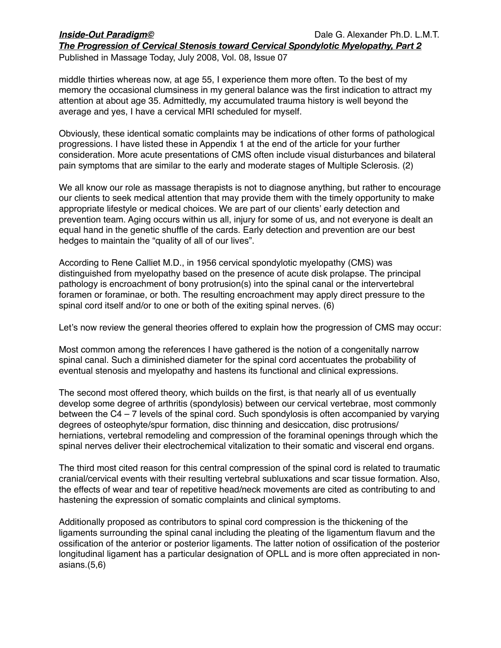Published in Massage Today, July 2008, Vol. 08, Issue 07

middle thirties whereas now, at age 55, I experience them more often. To the best of my memory the occasional clumsiness in my general balance was the first indication to attract my attention at about age 35. Admittedly, my accumulated trauma history is well beyond the average and yes, I have a cervical MRI scheduled for myself.

Obviously, these identical somatic complaints may be indications of other forms of pathological progressions. I have listed these in Appendix 1 at the end of the article for your further consideration. More acute presentations of CMS often include visual disturbances and bilateral pain symptoms that are similar to the early and moderate stages of Multiple Sclerosis. (2)

We all know our role as massage therapists is not to diagnose anything, but rather to encourage our clients to seek medical attention that may provide them with the timely opportunity to make appropriate lifestyle or medical choices. We are part of our clients' early detection and prevention team. Aging occurs within us all, injury for some of us, and not everyone is dealt an equal hand in the genetic shuffle of the cards. Early detection and prevention are our best hedges to maintain the "quality of all of our lives".

According to Rene Calliet M.D., in 1956 cervical spondylotic myelopathy (CMS) was distinguished from myelopathy based on the presence of acute disk prolapse. The principal pathology is encroachment of bony protrusion(s) into the spinal canal or the intervertebral foramen or foraminae, or both. The resulting encroachment may apply direct pressure to the spinal cord itself and/or to one or both of the exiting spinal nerves. (6)

Let's now review the general theories offered to explain how the progression of CMS may occur:

Most common among the references I have gathered is the notion of a congenitally narrow spinal canal. Such a diminished diameter for the spinal cord accentuates the probability of eventual stenosis and myelopathy and hastens its functional and clinical expressions.

The second most offered theory, which builds on the first, is that nearly all of us eventually develop some degree of arthritis (spondylosis) between our cervical vertebrae, most commonly between the C4 – 7 levels of the spinal cord. Such spondylosis is often accompanied by varying degrees of osteophyte/spur formation, disc thinning and desiccation, disc protrusions/ herniations, vertebral remodeling and compression of the foraminal openings through which the spinal nerves deliver their electrochemical vitalization to their somatic and visceral end organs.

The third most cited reason for this central compression of the spinal cord is related to traumatic cranial/cervical events with their resulting vertebral subluxations and scar tissue formation. Also, the effects of wear and tear of repetitive head/neck movements are cited as contributing to and hastening the expression of somatic complaints and clinical symptoms.

Additionally proposed as contributors to spinal cord compression is the thickening of the ligaments surrounding the spinal canal including the pleating of the ligamentum flavum and the ossification of the anterior or posterior ligaments. The latter notion of ossification of the posterior longitudinal ligament has a particular designation of OPLL and is more often appreciated in nonasians.(5,6)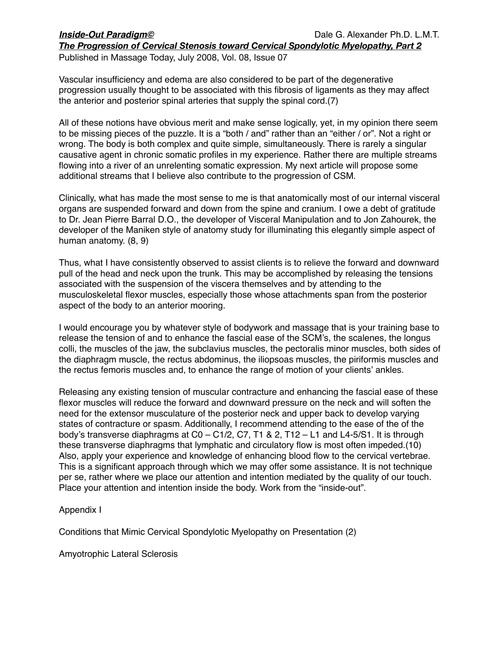Published in Massage Today, July 2008, Vol. 08, Issue 07

Vascular insufficiency and edema are also considered to be part of the degenerative progression usually thought to be associated with this fibrosis of ligaments as they may affect the anterior and posterior spinal arteries that supply the spinal cord.(7)

All of these notions have obvious merit and make sense logically, yet, in my opinion there seem to be missing pieces of the puzzle. It is a "both / and" rather than an "either / or". Not a right or wrong. The body is both complex and quite simple, simultaneously. There is rarely a singular causative agent in chronic somatic profiles in my experience. Rather there are multiple streams flowing into a river of an unrelenting somatic expression. My next article will propose some additional streams that I believe also contribute to the progression of CSM.

Clinically, what has made the most sense to me is that anatomically most of our internal visceral organs are suspended forward and down from the spine and cranium. I owe a debt of gratitude to Dr. Jean Pierre Barral D.O., the developer of Visceral Manipulation and to Jon Zahourek, the developer of the Maniken style of anatomy study for illuminating this elegantly simple aspect of human anatomy. (8, 9)

Thus, what I have consistently observed to assist clients is to relieve the forward and downward pull of the head and neck upon the trunk. This may be accomplished by releasing the tensions associated with the suspension of the viscera themselves and by attending to the musculoskeletal flexor muscles, especially those whose attachments span from the posterior aspect of the body to an anterior mooring.

I would encourage you by whatever style of bodywork and massage that is your training base to release the tension of and to enhance the fascial ease of the SCM's, the scalenes, the longus colli, the muscles of the jaw, the subclavius muscles, the pectoralis minor muscles, both sides of the diaphragm muscle, the rectus abdominus, the iliopsoas muscles, the piriformis muscles and the rectus femoris muscles and, to enhance the range of motion of your clients' ankles.

Releasing any existing tension of muscular contracture and enhancing the fascial ease of these flexor muscles will reduce the forward and downward pressure on the neck and will soften the need for the extensor musculature of the posterior neck and upper back to develop varying states of contracture or spasm. Additionally, I recommend attending to the ease of the of the body's transverse diaphragms at C0 – C1/2, C7, T1 & 2, T12 – L1 and L4-5/S1. It is through these transverse diaphragms that lymphatic and circulatory flow is most often impeded.(10) Also, apply your experience and knowledge of enhancing blood flow to the cervical vertebrae. This is a significant approach through which we may offer some assistance. It is not technique per se, rather where we place our attention and intention mediated by the quality of our touch. Place your attention and intention inside the body. Work from the "inside-out".

# Appendix I

Conditions that Mimic Cervical Spondylotic Myelopathy on Presentation (2)

Amyotrophic Lateral Sclerosis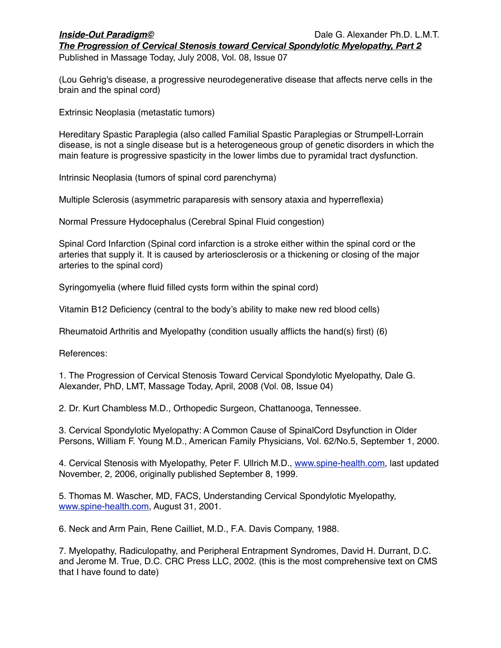Published in Massage Today, July 2008, Vol. 08, Issue 07

(Lou Gehrig's disease, a progressive neurodegenerative disease that affects nerve cells in the brain and the spinal cord)

Extrinsic Neoplasia (metastatic tumors)

Hereditary Spastic Paraplegia (also called Familial Spastic Paraplegias or Strumpell-Lorrain disease, is not a single disease but is a heterogeneous group of genetic disorders in which the main feature is progressive spasticity in the lower limbs due to pyramidal tract dysfunction.

Intrinsic Neoplasia (tumors of spinal cord parenchyma)

Multiple Sclerosis (asymmetric paraparesis with sensory ataxia and hyperreflexia)

Normal Pressure Hydocephalus (Cerebral Spinal Fluid congestion)

Spinal Cord Infarction (Spinal cord infarction is a stroke either within the spinal cord or the arteries that supply it. It is caused by arteriosclerosis or a thickening or closing of the major arteries to the spinal cord)

Syringomyelia (where fluid filled cysts form within the spinal cord)

Vitamin B12 Deficiency (central to the body's ability to make new red blood cells)

Rheumatoid Arthritis and Myelopathy (condition usually afflicts the hand(s) first) (6)

References:

1. The Progression of Cervical Stenosis Toward Cervical Spondylotic Myelopathy, Dale G. Alexander, PhD, LMT, Massage Today, April, 2008 (Vol. 08, Issue 04)

2. Dr. Kurt Chambless M.D., Orthopedic Surgeon, Chattanooga, Tennessee.

3. Cervical Spondylotic Myelopathy: A Common Cause of SpinalCord Dsyfunction in Older Persons, William F. Young M.D., American Family Physicians, Vol. 62/No.5, September 1, 2000.

4. Cervical Stenosis with Myelopathy, Peter F. Ullrich M.D., [www.spine-health.com](http://www.spine-health.com), last updated November, 2, 2006, originally published September 8, 1999.

5. Thomas M. Wascher, MD, FACS, Understanding Cervical Spondylotic Myelopathy, [www.spine-health.com](http://www.spine-health.com), August 31, 2001.

6. Neck and Arm Pain, Rene Cailliet, M.D., F.A. Davis Company, 1988.

7. Myelopathy, Radiculopathy, and Peripheral Entrapment Syndromes, David H. Durrant, D.C. and Jerome M. True, D.C. CRC Press LLC, 2002. (this is the most comprehensive text on CMS that I have found to date)